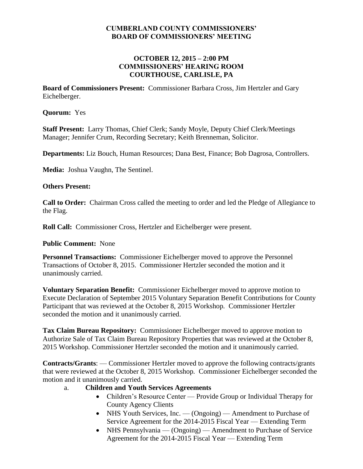#### **CUMBERLAND COUNTY COMMISSIONERS' BOARD OF COMMISSIONERS' MEETING**

#### **OCTOBER 12, 2015 – 2:00 PM COMMISSIONERS' HEARING ROOM COURTHOUSE, CARLISLE, PA**

**Board of Commissioners Present:** Commissioner Barbara Cross, Jim Hertzler and Gary Eichelberger.

#### **Quorum:** Yes

**Staff Present:** Larry Thomas, Chief Clerk; Sandy Moyle, Deputy Chief Clerk/Meetings Manager; Jennifer Crum, Recording Secretary; Keith Brenneman, Solicitor.

**Departments:** Liz Bouch, Human Resources; Dana Best, Finance; Bob Dagrosa, Controllers.

**Media:** Joshua Vaughn, The Sentinel.

#### **Others Present:**

**Call to Order:** Chairman Cross called the meeting to order and led the Pledge of Allegiance to the Flag.

**Roll Call:** Commissioner Cross, Hertzler and Eichelberger were present.

#### **Public Comment:** None

**Personnel Transactions:** Commissioner Eichelberger moved to approve the Personnel Transactions of October 8, 2015. Commissioner Hertzler seconded the motion and it unanimously carried.

**Voluntary Separation Benefit:** Commissioner Eichelberger moved to approve motion to Execute Declaration of September 2015 Voluntary Separation Benefit Contributions for County Participant that was reviewed at the October 8, 2015 Workshop*.* Commissioner Hertzler seconded the motion and it unanimously carried.

**Tax Claim Bureau Repository:** Commissioner Eichelberger moved to approve motion to Authorize Sale of Tax Claim Bureau Repository Properties that was reviewed at the October 8, 2015 Workshop*.* Commissioner Hertzler seconded the motion and it unanimously carried.

**Contracts/Grants**: — Commissioner Hertzler moved to approve the following contracts/grants that were reviewed at the October 8, 2015 Workshop*.* Commissioner Eichelberger seconded the motion and it unanimously carried.

- a. **Children and Youth Services Agreements**
	- Children's Resource Center Provide Group or Individual Therapy for County Agency Clients
	- NHS Youth Services, Inc. (Ongoing) Amendment to Purchase of Service Agreement for the 2014-2015 Fiscal Year — Extending Term
	- NHS Pennsylvania (Ongoing) Amendment to Purchase of Service Agreement for the 2014-2015 Fiscal Year — Extending Term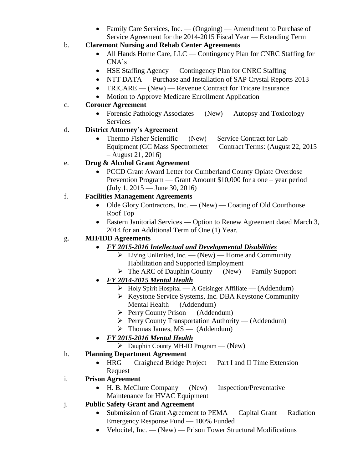- Family Care Services, Inc. (Ongoing) Amendment to Purchase of Service Agreement for the 2014-2015 Fiscal Year — Extending Term
- b. **Claremont Nursing and Rehab Center Agreements**
	- All Hands Home Care, LLC Contingency Plan for CNRC Staffing for CNA's
	- HSE Staffing Agency Contingency Plan for CNRC Staffing
	- NTT DATA Purchase and Installation of SAP Crystal Reports 2013
	- TRICARE (New) Revenue Contract for Tricare Insurance
	- Motion to Approve Medicare Enrollment Application

### c. **Coroner Agreement**

• Forensic Pathology Associates — (New) — Autopsy and Toxicology Services

### d. **District Attorney's Agreement**

• Thermo Fisher Scientific — (New) — Service Contract for Lab Equipment (GC Mass Spectrometer — Contract Terms: (August 22, 2015 – August 21, 2016)

# e. **Drug & Alcohol Grant Agreement**

• PCCD Grant Award Letter for Cumberland County Opiate Overdose Prevention Program — Grant Amount \$10,000 for a one – year period (July 1, 2015 — June 30, 2016)

### f. **Facilities Management Agreements**

- $\bullet$  Olde Glory Contractors, Inc. (New) Coating of Old Courthouse Roof Top
- Eastern Janitorial Services Option to Renew Agreement dated March 3, 2014 for an Additional Term of One (1) Year.

## g. **MH/IDD Agreements**

- *FY 2015-2016 Intellectual and Developmental Disabilities*
	- $\triangleright$  Living Unlimited, Inc. (New) Home and Community Habilitation and Supported Employment
	- $\triangleright$  The ARC of Dauphin County (New) Family Support
- *FY 2014-2015 Mental Health*
	- $\triangleright$  Holy Spirit Hospital A Geisinger Affiliate (Addendum)
	- $\triangleright$  Keystone Service Systems, Inc. DBA Keystone Community Mental Health — (Addendum)
	- $\triangleright$  Perry County Prison (Addendum)
	- $\triangleright$  Perry County Transportation Authority (Addendum)
	- $\triangleright$  Thomas James, MS (Addendum)
- *FY 2015-2016 Mental Health*
	- $\triangleright$  Dauphin County MH-ID Program (New)

# h. **Planning Department Agreement**

- HRG Craighead Bridge Project Part I and II Time Extension Request
- i. **Prison Agreement**
	- H. B. McClure Company (New) Inspection/Preventative Maintenance for HVAC Equipment
- j. **Public Safety Grant and Agreement**
	- Submission of Grant Agreement to PEMA Capital Grant Radiation Emergency Response Fund — 100% Funded
	- Velocitel, Inc. (New) Prison Tower Structural Modifications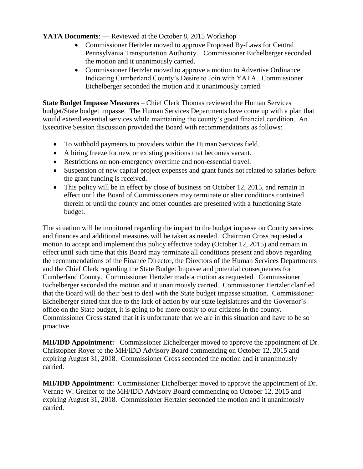#### **YATA Documents**: — Reviewed at the October 8, 2015 Workshop

- Commissioner Hertzler moved to approve Proposed By-Laws for Central Pennsylvania Transportation Authority. Commissioner Eichelberger seconded the motion and it unanimously carried.
- Commissioner Hertzler moved to approve a motion to Advertise Ordinance Indicating Cumberland County's Desire to Join with YATA. Commissioner Eichelberger seconded the motion and it unanimously carried.

**State Budget Impasse Measures** – Chief Clerk Thomas reviewed the Human Services budget/State budget impasse. The Human Services Departments have come up with a plan that would extend essential services while maintaining the county's good financial condition. An Executive Session discussion provided the Board with recommendations as follows:

- To withhold payments to providers within the Human Services field.
- A hiring freeze for new or existing positions that becomes vacant.
- Restrictions on non-emergency overtime and non-essential travel.
- Suspension of new capital project expenses and grant funds not related to salaries before the grant funding is received.
- This policy will be in effect by close of business on October 12, 2015, and remain in effect until the Board of Commissioners may terminate or alter conditions contained therein or until the county and other counties are presented with a functioning State budget.

The situation will be monitored regarding the impact to the budget impasse on County services and finances and additional measures will be taken as needed. Chairman Cross requested a motion to accept and implement this policy effective today (October 12, 2015) and remain in effect until such time that this Board may terminate all conditions present and above regarding the recommendations of the Finance Director, the Directors of the Human Services Departments and the Chief Clerk regarding the State Budget Impasse and potential consequences for Cumberland County. Commissioner Hertzler made a motion as requested. Commissioner Eichelberger seconded the motion and it unanimously carried. Commissioner Hertzler clarified that the Board will do their best to deal with the State budget impasse situation. Commissioner Eichelberger stated that due to the lack of action by our state legislatures and the Governor's office on the State budget, it is going to be more costly to our citizens in the county. Commissioner Cross stated that it is unfortunate that we are in this situation and have to be so proactive.

**MH/IDD Appointment:** Commissioner Eichelberger moved to approve the appointment of Dr. Christopher Royer to the MH/IDD Advisory Board commencing on October 12, 2015 and expiring August 31, 2018. Commissioner Cross seconded the motion and it unanimously carried.

**MH/IDD Appointment:** Commissioner Eichelberger moved to approve the appointment of Dr. Vernne W. Greiner to the MH/IDD Advisory Board commencing on October 12, 2015 and expiring August 31, 2018. Commissioner Hertzler seconded the motion and it unanimously carried.